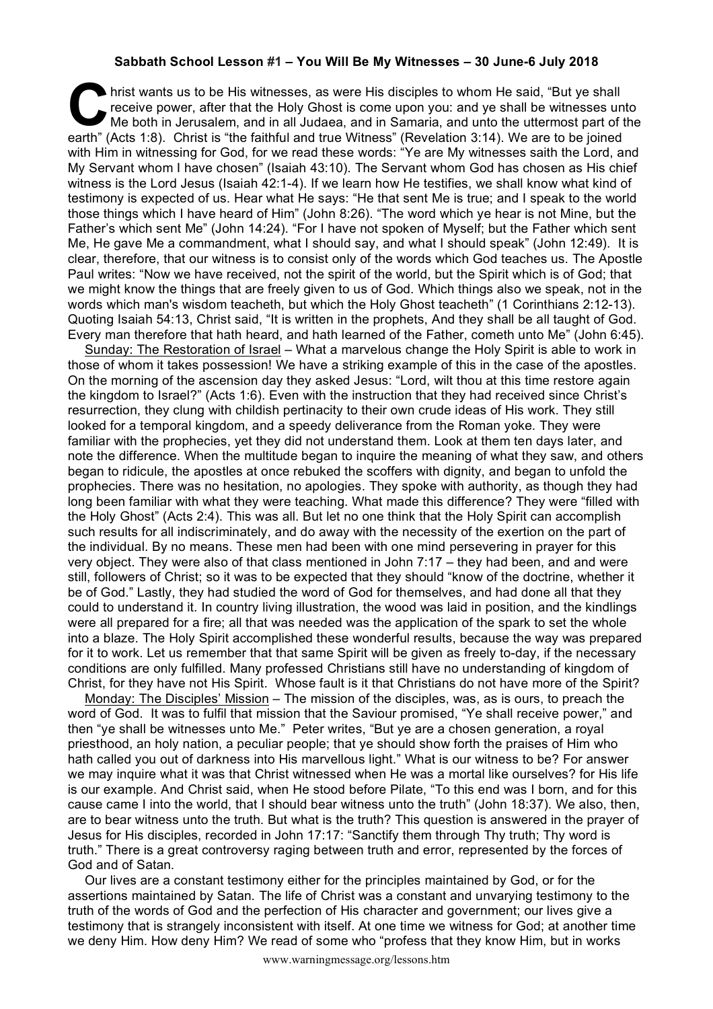## **Sabbath School Lesson #1 – You Will Be My Witnesses – 30 June-6 July 2018**

hrist wants us to be His witnesses, as were His disciples to whom He said, "But ye shall receive power, after that the Holy Ghost is come upon you: and ye shall be witnesses until the both in Jerusalem, and in all Judaea, receive power, after that the Holy Ghost is come upon you: and ye shall be witnesses unto Me both in Jerusalem, and in all Judaea, and in Samaria, and unto the uttermost part of the earth" (Acts 1:8). Christ is "the faithful and true Witness" (Revelation 3:14). We are to be joined with Him in witnessing for God, for we read these words: "Ye are My witnesses saith the Lord, and My Servant whom I have chosen" (Isaiah 43:10). The Servant whom God has chosen as His chief witness is the Lord Jesus (Isaiah 42:1-4). If we learn how He testifies, we shall know what kind of testimony is expected of us. Hear what He says: "He that sent Me is true; and I speak to the world those things which I have heard of Him" (John 8:26). "The word which ye hear is not Mine, but the Father's which sent Me" (John 14:24). "For I have not spoken of Myself; but the Father which sent Me, He gave Me a commandment, what I should say, and what I should speak" (John 12:49). It is clear, therefore, that our witness is to consist only of the words which God teaches us. The Apostle Paul writes: "Now we have received, not the spirit of the world, but the Spirit which is of God; that we might know the things that are freely given to us of God. Which things also we speak, not in the words which man's wisdom teacheth, but which the Holy Ghost teacheth" (1 Corinthians 2:12-13). Quoting Isaiah 54:13, Christ said, "It is written in the prophets, And they shall be all taught of God. Every man therefore that hath heard, and hath learned of the Father, cometh unto Me" (John 6:45).

Sunday: The Restoration of Israel – What a marvelous change the Holy Spirit is able to work in those of whom it takes possession! We have a striking example of this in the case of the apostles. On the morning of the ascension day they asked Jesus: "Lord, wilt thou at this time restore again the kingdom to Israel?" (Acts 1:6). Even with the instruction that they had received since Christ's resurrection, they clung with childish pertinacity to their own crude ideas of His work. They still looked for a temporal kingdom, and a speedy deliverance from the Roman yoke. They were familiar with the prophecies, yet they did not understand them. Look at them ten days later, and note the difference. When the multitude began to inquire the meaning of what they saw, and others began to ridicule, the apostles at once rebuked the scoffers with dignity, and began to unfold the prophecies. There was no hesitation, no apologies. They spoke with authority, as though they had long been familiar with what they were teaching. What made this difference? They were "filled with the Holy Ghost" (Acts 2:4). This was all. But let no one think that the Holy Spirit can accomplish such results for all indiscriminately, and do away with the necessity of the exertion on the part of the individual. By no means. These men had been with one mind persevering in prayer for this very object. They were also of that class mentioned in John 7:17 – they had been, and and were still, followers of Christ; so it was to be expected that they should "know of the doctrine, whether it be of God." Lastly, they had studied the word of God for themselves, and had done all that they could to understand it. In country living illustration, the wood was laid in position, and the kindlings were all prepared for a fire; all that was needed was the application of the spark to set the whole into a blaze. The Holy Spirit accomplished these wonderful results, because the way was prepared for it to work. Let us remember that that same Spirit will be given as freely to-day, if the necessary conditions are only fulfilled. Many professed Christians still have no understanding of kingdom of Christ, for they have not His Spirit. Whose fault is it that Christians do not have more of the Spirit?

Monday: The Disciples' Mission – The mission of the disciples, was, as is ours, to preach the word of God. It was to fulfil that mission that the Saviour promised, "Ye shall receive power," and then "ye shall be witnesses unto Me." Peter writes, "But ye are a chosen generation, a royal priesthood, an holy nation, a peculiar people; that ye should show forth the praises of Him who hath called you out of darkness into His marvellous light." What is our witness to be? For answer we may inquire what it was that Christ witnessed when He was a mortal like ourselves? for His life is our example. And Christ said, when He stood before Pilate, "To this end was I born, and for this cause came I into the world, that I should bear witness unto the truth" (John 18:37). We also, then, are to bear witness unto the truth. But what is the truth? This question is answered in the prayer of Jesus for His disciples, recorded in John 17:17: "Sanctify them through Thy truth; Thy word is truth." There is a great controversy raging between truth and error, represented by the forces of God and of Satan.

Our lives are a constant testimony either for the principles maintained by God, or for the assertions maintained by Satan. The life of Christ was a constant and unvarying testimony to the truth of the words of God and the perfection of His character and government; our lives give a testimony that is strangely inconsistent with itself. At one time we witness for God; at another time we deny Him. How deny Him? We read of some who "profess that they know Him, but in works